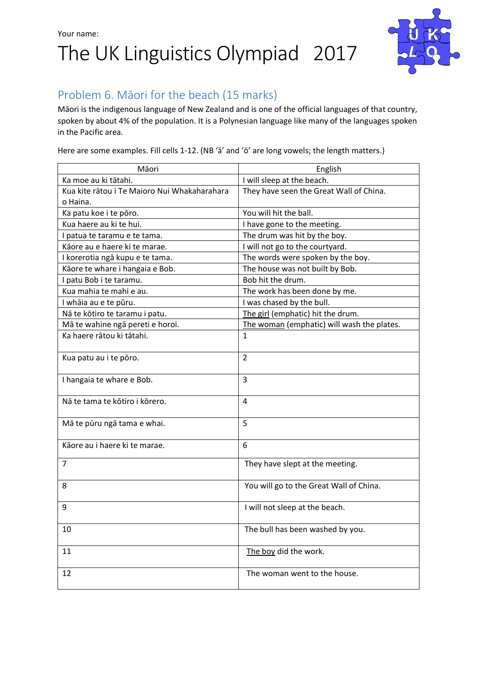## Your name: The UK Linguistics Olympiad 2017



### Problem 6. Māori for the beach (15 marks)

Māori is the indigenous language of New Zealand and is one of the official languages of that country, spoken by about 4% of the population. It is a Polynesian language like many of the languages spoken in the Pacific area.

Here are some examples. Fill cells 1-12. (NB 'ā' and 'ō' are long vowels; the length matters.)

| Māori                                        | English                                    |  |
|----------------------------------------------|--------------------------------------------|--|
| Ka moe au ki tātahi.                         | I will sleep at the beach.                 |  |
| Kua kite rātou i Te Maioro Nui Whakaharahara | They have seen the Great Wall of China.    |  |
| o Haina.                                     |                                            |  |
| Ka patu koe i te pōro.                       | You will hit the ball.                     |  |
| Kua haere au ki te hui.                      | I have gone to the meeting.                |  |
| I patua te taramu e te tama.                 | The drum was hit by the boy.               |  |
| Kāore au e haere ki te marae.                | I will not go to the courtyard.            |  |
| I korerotia ngā kupu e te tama.              | The words were spoken by the boy.          |  |
| Kāore te whare i hangaia e Bob.              | The house was not built by Bob.            |  |
| I patu Bob i te taramu.                      | Bob hit the drum.                          |  |
| Kua mahia te mahi e au.                      | The work has been done by me.              |  |
| I whāia au e te pūru.                        | I was chased by the bull.                  |  |
| Nā te kōtiro te taramu i patu.               | The girl (emphatic) hit the drum.          |  |
| Mā te wahine ngā pereti e horoi.             | The woman (emphatic) will wash the plates. |  |
| Ka haere rātou ki tātahi.                    | $\mathbf{1}$                               |  |
|                                              |                                            |  |
| Kua patu au i te pōro.                       | $\overline{2}$                             |  |
|                                              |                                            |  |
| I hangaia te whare e Bob.                    | 3                                          |  |
|                                              |                                            |  |
| Nā te tama te kōtiro i kōrero.               | 4                                          |  |
|                                              |                                            |  |
| Mā te pūru ngā tama e whai.                  | 5                                          |  |
|                                              |                                            |  |
| Kāore au i haere ki te marae.                | 6                                          |  |
| $\overline{7}$                               | They have slept at the meeting.            |  |
|                                              |                                            |  |
| 8                                            | You will go to the Great Wall of China.    |  |
|                                              |                                            |  |
| 9                                            | I will not sleep at the beach.             |  |
|                                              |                                            |  |
| 10                                           | The bull has been washed by you.           |  |
|                                              |                                            |  |
| 11                                           | The boy did the work.                      |  |
|                                              |                                            |  |
| 12                                           | The woman went to the house.               |  |
|                                              |                                            |  |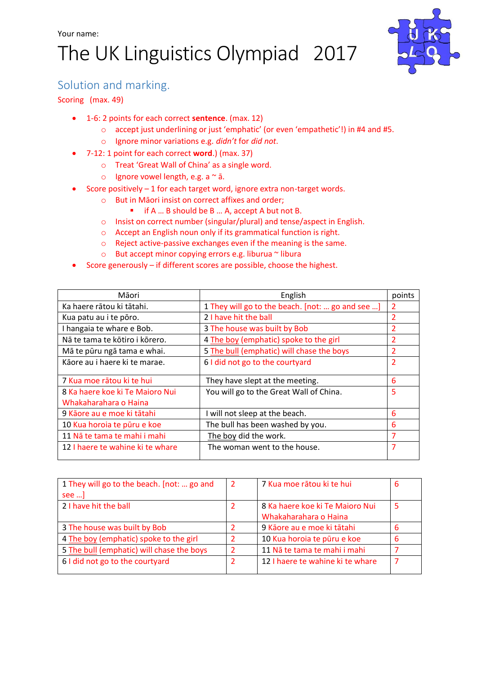# The UK Linguistics Olympiad 2017



### Solution and marking.

Scoring (max. 49)

- 1-6: 2 points for each correct **sentence**. (max. 12)
	- o accept just underlining or just 'emphatic' (or even 'empathetic'!) in #4 and #5.
	- o Ignore minor variations e.g. *didn't* for *did not*.
- 7-12: 1 point for each correct **word**.) (max. 37)
	- o Treat 'Great Wall of China' as a single word.
	- o Ignore vowel length, e.g. a  $\sim$  ā.
- Score positively 1 for each target word, ignore extra non-target words.
	- o But in Māori insist on correct affixes and order;
		- if A ... B should be B ... A, accept A but not B.
	- o Insist on correct number (singular/plural) and tense/aspect in English.
	- o Accept an English noun only if its grammatical function is right.
	- o Reject active-passive exchanges even if the meaning is the same.
	- o But accept minor copying errors e.g. liburua ~ libura
- Score generously if different scores are possible, choose the highest.

| Māori                                                    | English                                          | points         |
|----------------------------------------------------------|--------------------------------------------------|----------------|
| Ka haere rātou ki tātahi.                                | 1 They will go to the beach. [not:  go and see ] | 2              |
| Kua patu au i te pōro.                                   | 2 I have hit the ball                            | 2              |
| I hangaia te whare e Bob.                                | 3 The house was built by Bob                     | 2              |
| Nā te tama te kōtiro i kōrero.                           | 4 The boy (emphatic) spoke to the girl           | 2              |
| Mā te pūru ngā tama e whai.                              | 5 The bull (emphatic) will chase the boys        | 2              |
| Kāore au i haere ki te marae.                            | 6 I did not go to the courtyard                  | $\overline{2}$ |
| 7 Kua moe rātou ki te hui                                | They have slept at the meeting.                  | 6              |
| 8 Ka haere koe ki Te Maioro Nui<br>Whakaharahara o Haina | You will go to the Great Wall of China.          | 5              |
| 9 Kāore au e moe ki tātahi                               | I will not sleep at the beach.                   | 6              |
| 10 Kua horoia te pūru e koe                              | The bull has been washed by you.                 | 6              |
| 11 Nã te tama te mahi i mahi                             | The boy did the work.                            | 7              |
| 12 I haere te wahine ki te whare                         | The woman went to the house.                     | 7              |

| 1 They will go to the beach. [not:  go and | 2 | 7 Kua moe rātou ki te hui        | 6 |
|--------------------------------------------|---|----------------------------------|---|
| see ]                                      |   |                                  |   |
| 2 I have hit the ball                      |   | 8 Ka haere koe ki Te Majoro Nui  | 5 |
|                                            |   | Whakaharahara o Haina            |   |
| 3 The house was built by Bob               |   | 9 Kāore au e moe ki tātahi       | 6 |
| 4 The boy (emphatic) spoke to the girl     |   | 10 Kua horoia te pūru e koe      | 6 |
| 5 The bull (emphatic) will chase the boys  |   | 11 Nã te tama te mahi i mahi     |   |
| 6 I did not go to the courtyard            |   | 12 I haere te wahine ki te whare |   |
|                                            |   |                                  |   |